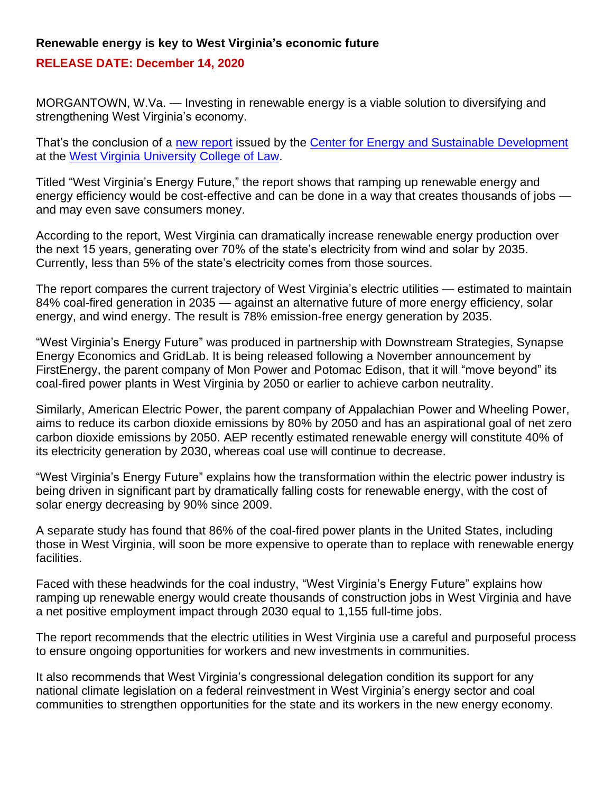## **Renewable energy is key to West Virginia's economic future**

## **RELEASE DATE: December 14, 2020**

MORGANTOWN, W.Va. — Investing in renewable energy is a viable solution to diversifying and strengthening West Virginia's economy.

That's the conclusion of a [new report](https://energy.law.wvu.edu/west-virginias-energy-future) issued by the [Center for Energy and Sustainable Development](http://energy.law.wvu.edu/) at the [West Virginia University](https://www.wvu.edu/) [College of Law.](https://law.wvu.edu/)

Titled "West Virginia's Energy Future," the report shows that ramping up renewable energy and energy efficiency would be cost-effective and can be done in a way that creates thousands of jobs and may even save consumers money.

According to the report, West Virginia can dramatically increase renewable energy production over the next 15 years, generating over 70% of the state's electricity from wind and solar by 2035. Currently, less than 5% of the state's electricity comes from those sources.

The report compares the current trajectory of West Virginia's electric utilities — estimated to maintain 84% coal-fired generation in 2035 — against an alternative future of more energy efficiency, solar energy, and wind energy. The result is 78% emission-free energy generation by 2035.

"West Virginia's Energy Future" was produced in partnership with Downstream Strategies, Synapse Energy Economics and GridLab. It is being released following a November announcement by FirstEnergy, the parent company of Mon Power and Potomac Edison, that it will "move beyond" its coal-fired power plants in West Virginia by 2050 or earlier to achieve carbon neutrality.

Similarly, American Electric Power, the parent company of Appalachian Power and Wheeling Power, aims to reduce its carbon dioxide emissions by 80% by 2050 and has an aspirational goal of net zero carbon dioxide emissions by 2050. AEP recently estimated renewable energy will constitute 40% of its electricity generation by 2030, whereas coal use will continue to decrease.

"West Virginia's Energy Future" explains how the transformation within the electric power industry is being driven in significant part by dramatically falling costs for renewable energy, with the cost of solar energy decreasing by 90% since 2009.

A separate study has found that 86% of the coal-fired power plants in the United States, including those in West Virginia, will soon be more expensive to operate than to replace with renewable energy facilities.

Faced with these headwinds for the coal industry, "West Virginia's Energy Future" explains how ramping up renewable energy would create thousands of construction jobs in West Virginia and have a net positive employment impact through 2030 equal to 1,155 full-time jobs.

The report recommends that the electric utilities in West Virginia use a careful and purposeful process to ensure ongoing opportunities for workers and new investments in communities.

It also recommends that West Virginia's congressional delegation condition its support for any national climate legislation on a federal reinvestment in West Virginia's energy sector and coal communities to strengthen opportunities for the state and its workers in the new energy economy.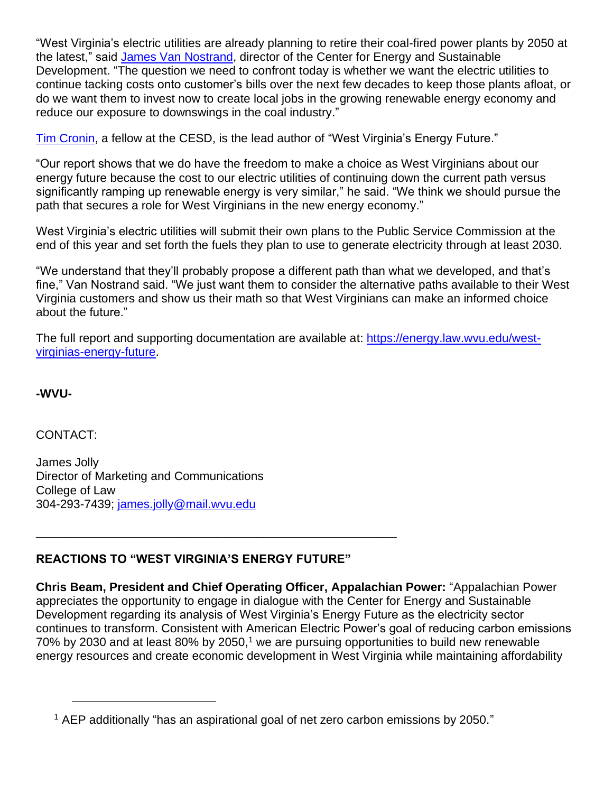"West Virginia's electric utilities are already planning to retire their coal-fired power plants by 2050 at the latest," said [James Van Nostrand,](https://www.law.wvu.edu/faculty-staff/faculty-information/james-van-nostrand) director of the Center for Energy and Sustainable Development. "The question we need to confront today is whether we want the electric utilities to continue tacking costs onto customer's bills over the next few decades to keep those plants afloat, or do we want them to invest now to create local jobs in the growing renewable energy economy and reduce our exposure to downswings in the coal industry."

[Tim Cronin,](https://www.law.wvu.edu/faculty-staff/staff/tim-cronin) a fellow at the CESD, is the lead author of "West Virginia's Energy Future."

"Our report shows that we do have the freedom to make a choice as West Virginians about our energy future because the cost to our electric utilities of continuing down the current path versus significantly ramping up renewable energy is very similar," he said. "We think we should pursue the path that secures a role for West Virginians in the new energy economy."

West Virginia's electric utilities will submit their own plans to the Public Service Commission at the end of this year and set forth the fuels they plan to use to generate electricity through at least 2030.

"We understand that they'll probably propose a different path than what we developed, and that's fine," Van Nostrand said. "We just want them to consider the alternative paths available to their West Virginia customers and show us their math so that West Virginians can make an informed choice about the future."

The full report and supporting documentation are available at: [https://energy.law.wvu.edu/west](https://energy.law.wvu.edu/west-virginias-energy-future)[virginias-energy-future.](https://energy.law.wvu.edu/west-virginias-energy-future)

**-WVU-**

CONTACT:

James Jolly Director of Marketing and Communications College of Law 304-293-7439; [james.jolly@mail.wvu.edu](mailto:james.jolly@mail.wvu.edu)

## **REACTIONS TO "WEST VIRGINIA'S ENERGY FUTURE"**

\_\_\_\_\_\_\_\_\_\_\_\_\_\_\_\_\_\_\_\_\_\_\_\_\_\_\_\_\_\_\_\_\_\_\_\_\_\_\_\_\_\_\_\_\_\_\_\_\_\_\_\_\_\_

**Chris Beam, President and Chief Operating Officer, Appalachian Power:** "Appalachian Power appreciates the opportunity to engage in dialogue with the Center for Energy and Sustainable Development regarding its analysis of West Virginia's Energy Future as the electricity sector continues to transform. Consistent with American Electric Power's goal of reducing carbon emissions 70% by 2030 and at least 80% by 2050,<sup>1</sup> we are pursuing opportunities to build new renewable energy resources and create economic development in West Virginia while maintaining affordability

<sup>1</sup> AEP additionally "has an aspirational goal of net zero carbon emissions by 2050."